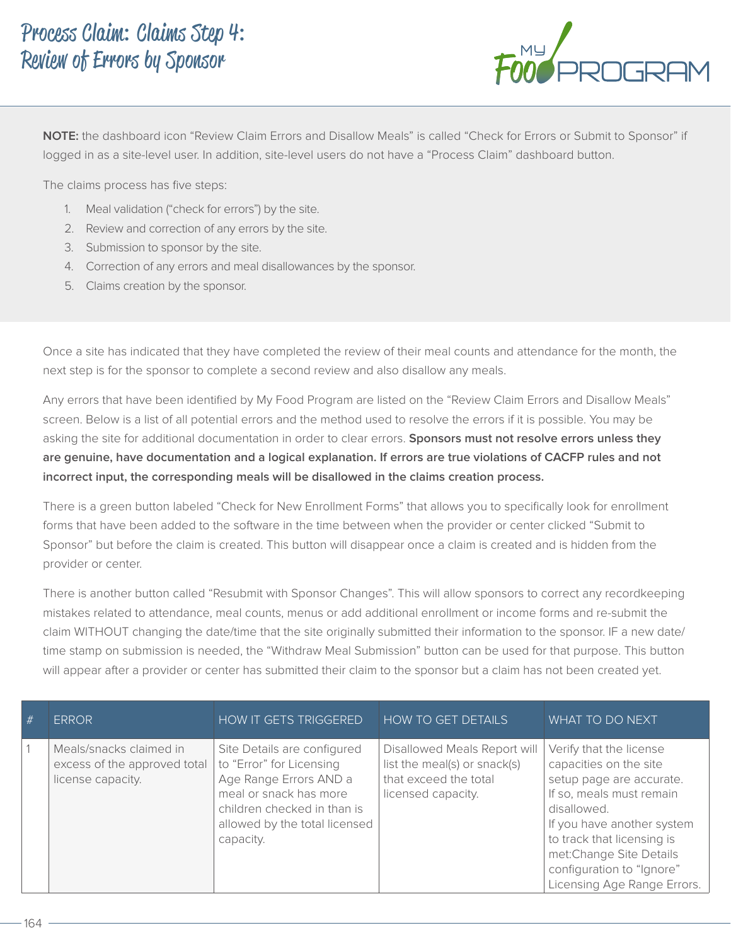

**NOTE:** the dashboard icon "Review Claim Errors and Disallow Meals" is called "Check for Errors or Submit to Sponsor" if logged in as a site-level user. In addition, site-level users do not have a "Process Claim" dashboard button.

The claims process has five steps:

- 1. Meal validation ("check for errors") by the site.
- 2. Review and correction of any errors by the site.
- 3. Submission to sponsor by the site.
- 4. Correction of any errors and meal disallowances by the sponsor.
- 5. Claims creation by the sponsor.

Once a site has indicated that they have completed the review of their meal counts and attendance for the month, the next step is for the sponsor to complete a second review and also disallow any meals.

Any errors that have been identified by My Food Program are listed on the "Review Claim Errors and Disallow Meals" screen. Below is a list of all potential errors and the method used to resolve the errors if it is possible. You may be asking the site for additional documentation in order to clear errors. **Sponsors must not resolve errors unless they are genuine, have documentation and a logical explanation. If errors are true violations of CACFP rules and not incorrect input, the corresponding meals will be disallowed in the claims creation process.**

There is a green button labeled "Check for New Enrollment Forms" that allows you to specifically look for enrollment forms that have been added to the software in the time between when the provider or center clicked "Submit to Sponsor" but before the claim is created. This button will disappear once a claim is created and is hidden from the provider or center.

There is another button called "Resubmit with Sponsor Changes". This will allow sponsors to correct any recordkeeping mistakes related to attendance, meal counts, menus or add additional enrollment or income forms and re-submit the claim WITHOUT changing the date/time that the site originally submitted their information to the sponsor. IF a new date/ time stamp on submission is needed, the "Withdraw Meal Submission" button can be used for that purpose. This button will appear after a provider or center has submitted their claim to the sponsor but a claim has not been created yet.

| # | <b>ERROR</b>                                                                 | <b>HOW IT GETS TRIGGERED</b>                                                                                                                                                             | <b>HOW TO GET DETAILS</b>                                                                                   | WHAT TO DO NEXT                                                                                                                                                                                                                                                              |
|---|------------------------------------------------------------------------------|------------------------------------------------------------------------------------------------------------------------------------------------------------------------------------------|-------------------------------------------------------------------------------------------------------------|------------------------------------------------------------------------------------------------------------------------------------------------------------------------------------------------------------------------------------------------------------------------------|
|   | Meals/snacks claimed in<br>excess of the approved total<br>license capacity. | Site Details are configured<br>to "Error" for Licensing<br>Age Range Errors AND a<br>meal or snack has more<br>children checked in than is<br>allowed by the total licensed<br>capacity. | Disallowed Meals Report will<br>list the meal(s) or snack(s)<br>that exceed the total<br>licensed capacity. | Verify that the license<br>capacities on the site<br>setup page are accurate.<br>If so, meals must remain<br>disallowed.<br>If you have another system<br>to track that licensing is<br>met: Change Site Details<br>configuration to "Ignore"<br>Licensing Age Range Errors. |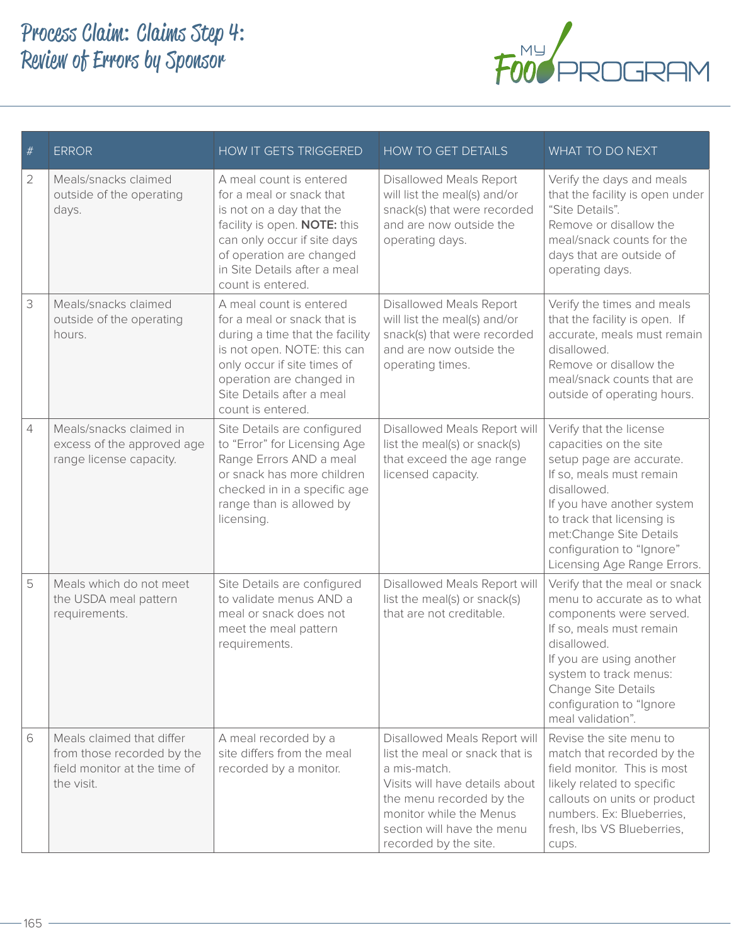

| $\#$           | <b>ERROR</b>                                                                                          | <b>HOW IT GETS TRIGGERED</b>                                                                                                                                                                                                          | HOW TO GET DETAILS                                                                                                                                                                                                             | WHAT TO DO NEXT                                                                                                                                                                                                                                                             |
|----------------|-------------------------------------------------------------------------------------------------------|---------------------------------------------------------------------------------------------------------------------------------------------------------------------------------------------------------------------------------------|--------------------------------------------------------------------------------------------------------------------------------------------------------------------------------------------------------------------------------|-----------------------------------------------------------------------------------------------------------------------------------------------------------------------------------------------------------------------------------------------------------------------------|
| 2              | Meals/snacks claimed<br>outside of the operating<br>days.                                             | A meal count is entered<br>for a meal or snack that<br>is not on a day that the<br>facility is open. NOTE: this<br>can only occur if site days<br>of operation are changed<br>in Site Details after a meal<br>count is entered.       | Disallowed Meals Report<br>will list the meal(s) and/or<br>snack(s) that were recorded<br>and are now outside the<br>operating days.                                                                                           | Verify the days and meals<br>that the facility is open under<br>"Site Details".<br>Remove or disallow the<br>meal/snack counts for the<br>days that are outside of<br>operating days.                                                                                       |
| 3              | Meals/snacks claimed<br>outside of the operating<br>hours.                                            | A meal count is entered<br>for a meal or snack that is<br>during a time that the facility<br>is not open. NOTE: this can<br>only occur if site times of<br>operation are changed in<br>Site Details after a meal<br>count is entered. | <b>Disallowed Meals Report</b><br>will list the meal(s) and/or<br>snack(s) that were recorded<br>and are now outside the<br>operating times.                                                                                   | Verify the times and meals<br>that the facility is open. If<br>accurate, meals must remain<br>disallowed.<br>Remove or disallow the<br>meal/snack counts that are<br>outside of operating hours.                                                                            |
| $\overline{4}$ | Meals/snacks claimed in<br>excess of the approved age<br>range license capacity.                      | Site Details are configured<br>to "Error" for Licensing Age<br>Range Errors AND a meal<br>or snack has more children<br>checked in in a specific age<br>range than is allowed by<br>licensing.                                        | Disallowed Meals Report will<br>list the meal(s) or snack(s)<br>that exceed the age range<br>licensed capacity.                                                                                                                | Verify that the license<br>capacities on the site<br>setup page are accurate.<br>If so, meals must remain<br>disallowed.<br>If you have another system<br>to track that licensing is<br>met:Change Site Details<br>configuration to "Ignore"<br>Licensing Age Range Errors. |
| 5              | Meals which do not meet<br>the USDA meal pattern<br>requirements.                                     | Site Details are configured<br>to validate menus AND a<br>meal or snack does not<br>meet the meal pattern<br>requirements.                                                                                                            | Disallowed Meals Report will<br>list the meal(s) or snack(s)<br>that are not creditable.                                                                                                                                       | Verify that the meal or snack<br>menu to accurate as to what<br>components were served.<br>If so, meals must remain<br>disallowed.<br>If you are using another<br>system to track menus:<br>Change Site Details<br>configuration to "Ignore<br>meal validation".            |
| 6              | Meals claimed that differ<br>from those recorded by the<br>field monitor at the time of<br>the visit. | A meal recorded by a<br>site differs from the meal<br>recorded by a monitor.                                                                                                                                                          | Disallowed Meals Report will<br>list the meal or snack that is<br>a mis-match.<br>Visits will have details about<br>the menu recorded by the<br>monitor while the Menus<br>section will have the menu<br>recorded by the site. | Revise the site menu to<br>match that recorded by the<br>field monitor. This is most<br>likely related to specific<br>callouts on units or product<br>numbers. Ex: Blueberries,<br>fresh, Ibs VS Blueberries,<br>cups.                                                      |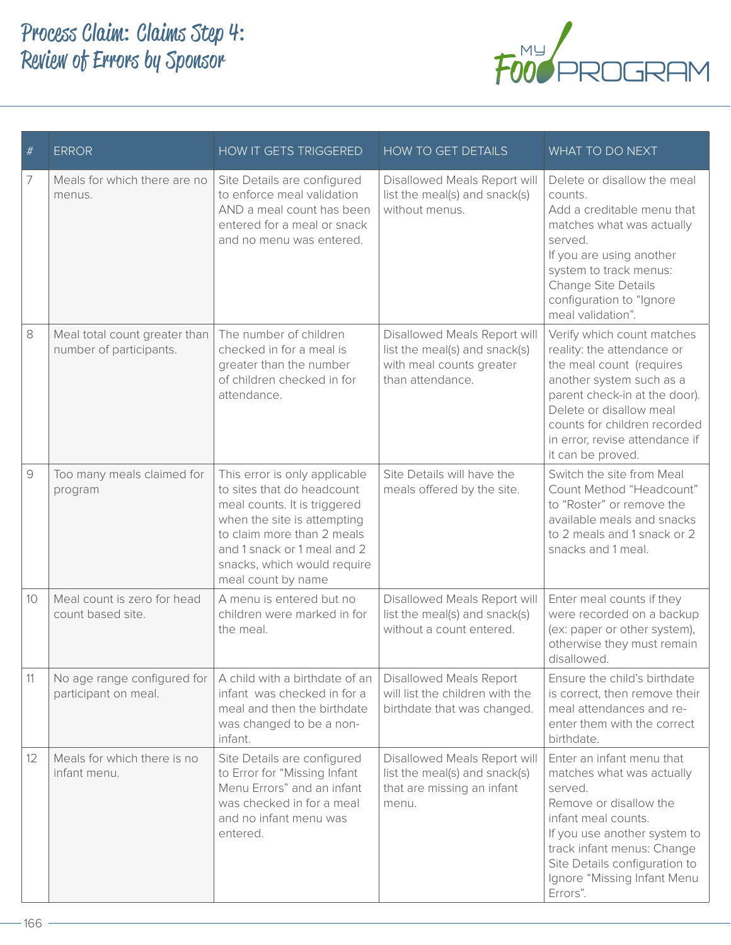

| $\#$ | <b>ERROR</b>                                             | <b>HOW IT GETS TRIGGERED</b>                                                                                                                                                                                                                 | <b>HOW TO GET DETAILS</b>                                                                                     | WHAT TO DO NEXT                                                                                                                                                                                                                                                     |
|------|----------------------------------------------------------|----------------------------------------------------------------------------------------------------------------------------------------------------------------------------------------------------------------------------------------------|---------------------------------------------------------------------------------------------------------------|---------------------------------------------------------------------------------------------------------------------------------------------------------------------------------------------------------------------------------------------------------------------|
| 7    | Meals for which there are no<br>menus.                   | Site Details are configured<br>to enforce meal validation<br>AND a meal count has been<br>entered for a meal or snack<br>and no menu was entered.                                                                                            | Disallowed Meals Report will<br>list the meal(s) and snack(s)<br>without menus.                               | Delete or disallow the meal<br>counts.<br>Add a creditable menu that<br>matches what was actually<br>served.<br>If you are using another<br>system to track menus:<br>Change Site Details<br>configuration to "Ignore<br>meal validation".                          |
| 8    | Meal total count greater than<br>number of participants. | The number of children<br>checked in for a meal is<br>greater than the number<br>of children checked in for<br>attendance.                                                                                                                   | Disallowed Meals Report will<br>list the meal(s) and snack(s)<br>with meal counts greater<br>than attendance. | Verify which count matches<br>reality: the attendance or<br>the meal count (requires<br>another system such as a<br>parent check-in at the door).<br>Delete or disallow meal<br>counts for children recorded<br>in error, revise attendance if<br>it can be proved. |
| 9    | Too many meals claimed for<br>program                    | This error is only applicable<br>to sites that do headcount<br>meal counts. It is triggered<br>when the site is attempting<br>to claim more than 2 meals<br>and 1 snack or 1 meal and 2<br>snacks, which would require<br>meal count by name | Site Details will have the<br>meals offered by the site.                                                      | Switch the site from Meal<br>Count Method "Headcount"<br>to "Roster" or remove the<br>available meals and snacks<br>to 2 meals and 1 snack or 2<br>snacks and 1 meal.                                                                                               |
| 10   | Meal count is zero for head<br>count based site.         | A menu is entered but no<br>children were marked in for<br>the meal.                                                                                                                                                                         | Disallowed Meals Report will<br>list the meal(s) and snack(s)<br>without a count entered.                     | Enter meal counts if they<br>were recorded on a backup<br>(ex: paper or other system),<br>otherwise they must remain<br>disallowed.                                                                                                                                 |
| 11   | No age range configured for<br>participant on meal.      | A child with a birthdate of an<br>infant was checked in for a<br>meal and then the birthdate<br>was changed to be a non-<br>infant.                                                                                                          | <b>Disallowed Meals Report</b><br>will list the children with the<br>birthdate that was changed.              | Ensure the child's birthdate<br>is correct, then remove their<br>meal attendances and re-<br>enter them with the correct<br>birthdate.                                                                                                                              |
| 12   | Meals for which there is no<br>infant menu.              | Site Details are configured<br>to Error for "Missing Infant<br>Menu Errors" and an infant<br>was checked in for a meal<br>and no infant menu was<br>entered.                                                                                 | Disallowed Meals Report will<br>list the meal(s) and snack(s)<br>that are missing an infant<br>menu.          | Enter an infant menu that<br>matches what was actually<br>served.<br>Remove or disallow the<br>infant meal counts.<br>If you use another system to<br>track infant menus: Change<br>Site Details configuration to<br>Ignore "Missing Infant Menu<br>Errors".        |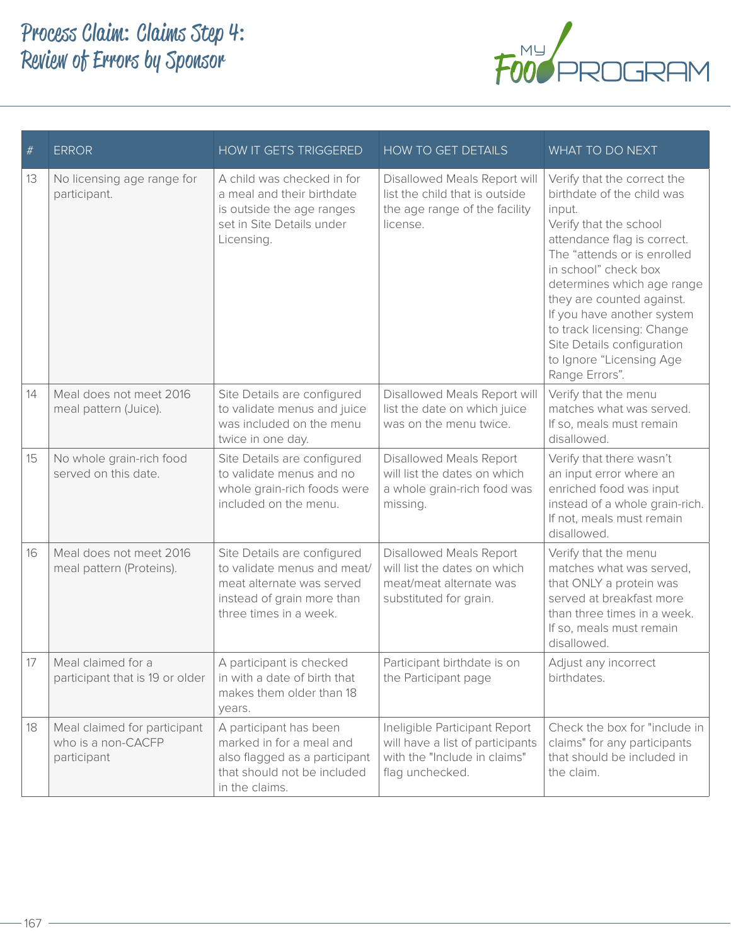

| $\#$ | <b>ERROR</b>                                                      | <b>HOW IT GETS TRIGGERED</b>                                                                                                                    | HOW TO GET DETAILS                                                                                                   | WHAT TO DO NEXT                                                                                                                                                                                                                                                                                                                                                                        |
|------|-------------------------------------------------------------------|-------------------------------------------------------------------------------------------------------------------------------------------------|----------------------------------------------------------------------------------------------------------------------|----------------------------------------------------------------------------------------------------------------------------------------------------------------------------------------------------------------------------------------------------------------------------------------------------------------------------------------------------------------------------------------|
| 13   | No licensing age range for<br>participant.                        | A child was checked in for<br>a meal and their birthdate<br>is outside the age ranges<br>set in Site Details under<br>Licensing.                | Disallowed Meals Report will<br>list the child that is outside<br>the age range of the facility<br>license.          | Verify that the correct the<br>birthdate of the child was<br>input.<br>Verify that the school<br>attendance flag is correct.<br>The "attends or is enrolled<br>in school" check box<br>determines which age range<br>they are counted against.<br>If you have another system<br>to track licensing: Change<br>Site Details configuration<br>to Ignore "Licensing Age<br>Range Errors". |
| 14   | Meal does not meet 2016<br>meal pattern (Juice).                  | Site Details are configured<br>to validate menus and juice<br>was included on the menu<br>twice in one day.                                     | Disallowed Meals Report will<br>list the date on which juice<br>was on the menu twice.                               | Verify that the menu<br>matches what was served.<br>If so, meals must remain<br>disallowed.                                                                                                                                                                                                                                                                                            |
| 15   | No whole grain-rich food<br>served on this date.                  | Site Details are configured<br>to validate menus and no<br>whole grain-rich foods were<br>included on the menu.                                 | Disallowed Meals Report<br>will list the dates on which<br>a whole grain-rich food was<br>missing.                   | Verify that there wasn't<br>an input error where an<br>enriched food was input<br>instead of a whole grain-rich.<br>If not, meals must remain<br>disallowed.                                                                                                                                                                                                                           |
| 16   | Meal does not meet 2016<br>meal pattern (Proteins).               | Site Details are configured<br>to validate menus and meat/<br>meat alternate was served<br>instead of grain more than<br>three times in a week. | Disallowed Meals Report<br>will list the dates on which<br>meat/meat alternate was<br>substituted for grain.         | Verify that the menu<br>matches what was served,<br>that ONLY a protein was<br>served at breakfast more<br>than three times in a week.<br>If so, meals must remain<br>disallowed.                                                                                                                                                                                                      |
| 17   | Meal claimed for a<br>participant that is 19 or older             | A participant is checked<br>in with a date of birth that<br>makes them older than 18<br>years.                                                  | Participant birthdate is on<br>the Participant page                                                                  | Adjust any incorrect<br>birthdates.                                                                                                                                                                                                                                                                                                                                                    |
| 18   | Meal claimed for participant<br>who is a non-CACFP<br>participant | A participant has been<br>marked in for a meal and<br>also flagged as a participant<br>that should not be included<br>in the claims.            | Ineligible Participant Report<br>will have a list of participants<br>with the "Include in claims"<br>flag unchecked. | Check the box for "include in<br>claims" for any participants<br>that should be included in<br>the claim.                                                                                                                                                                                                                                                                              |